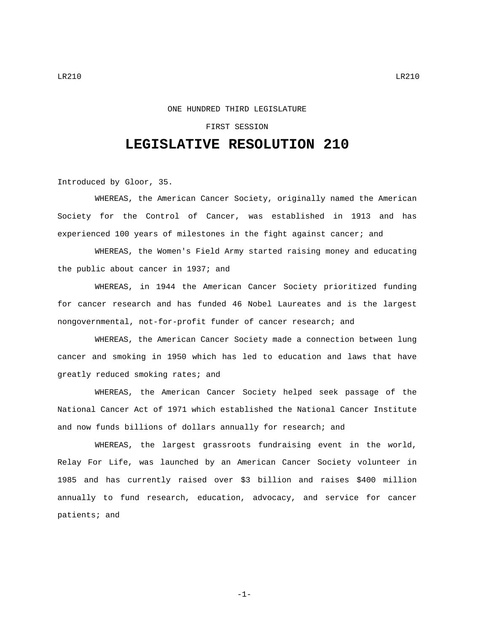## ONE HUNDRED THIRD LEGISLATURE

## FIRST SESSION

## **LEGISLATIVE RESOLUTION 210**

Introduced by Gloor, 35.

WHEREAS, the American Cancer Society, originally named the American Society for the Control of Cancer, was established in 1913 and has experienced 100 years of milestones in the fight against cancer; and

WHEREAS, the Women's Field Army started raising money and educating the public about cancer in 1937; and

WHEREAS, in 1944 the American Cancer Society prioritized funding for cancer research and has funded 46 Nobel Laureates and is the largest nongovernmental, not-for-profit funder of cancer research; and

WHEREAS, the American Cancer Society made a connection between lung cancer and smoking in 1950 which has led to education and laws that have greatly reduced smoking rates; and

WHEREAS, the American Cancer Society helped seek passage of the National Cancer Act of 1971 which established the National Cancer Institute and now funds billions of dollars annually for research; and

WHEREAS, the largest grassroots fundraising event in the world, Relay For Life, was launched by an American Cancer Society volunteer in 1985 and has currently raised over \$3 billion and raises \$400 million annually to fund research, education, advocacy, and service for cancer patients; and

-1-